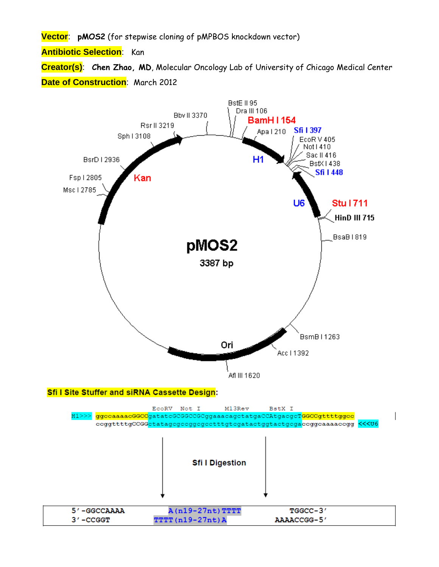**Vector**: **pMOS2** (for stepwise cloning of pMPBOS knockdown vector)

**Antibiotic Selection**: Kan

**Creator(s)**: **Chen Zhao, MD**, Molecular Oncology Lab of University of Chicago Medical Center **Date of Construction**: March 2012

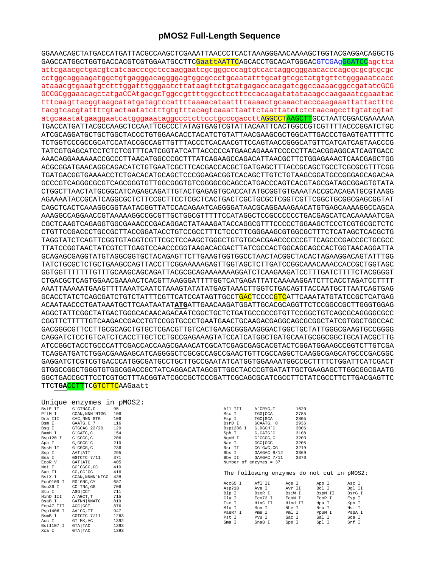## pMOS2 Full-Length Sequence

GGAAACAGCTATGACCATGATTACGCCAAGCTCGAAATTAACCCTCACTAAAGGGAACAAAAGCTGGTACGAGGACAGGCTG GAGCCATGGCTGGTGACCACGTCGTGGAATGCCTTC<mark>GaattAATTC</mark>AGCACCTGCACATGGGACGTCGAgGGATCCagctta attcgaacgctgacgtcatcaacccgctccaaggaatcgcgggcccagtgtcactaggcgggaacacccagcgcgcgtgcgc cctggcaggaagatggctgtgagggacaggggagtggcgccctgcaatatttgcatgtcgctatgtgttctgggaaatcacc ataaacgtgaaatgtctttggatttgggaatcttataagttctgtatgagaccacagatcggccaaaacggccgatatcGCG GCCGCggaaacagctatgaCCAtgacgcTggccgttttggcctcctttccacaagatatataaagccaagaaatcgaaatac tttcaagttacggtaagcatatgatagtccattttaaaacataattttaaaactgcaaactacccaagaaattattactttc atgcaaatatgaaggaatcatgggaaataggccctcttcctgcccgaccttAGGCCTAAGCTTGCCTAATCGGACGAAAAAA TGACCATGATTACGCCAAGCTCCAATTCGCCCTATAGTGAGTCGTATTACAATTCACTGGCCGTCGTTTTACCCGGATCTGC ATCGCAGGATGCTGCTGCTACCCTGTGGAACACCTACATCTGTATTAACGAAGCGCTGGCATTGACCCTGAGTGATTTTTC TCTGGTCCCGCCGCATCCATACCGCCAGTTGTTTACCCTCACAACGTTCCAGTAACCGGCATGTTCATCATCAGTAACCCG TATCGTGAGCATCCTCTCTCTTTCATCGGTATCATTACCCCCATGAACAGAAATCCCCCTTACACGGAGGCATCAGTGACC AAACAGGAAAAAAACCGCCTTAACATGGCCCTTTATCAGAAAGCAAACATTAACGCTTCTGGAGAAAACTCAAGGAGCTGG TGATGACGGTGAAAACCTCTGACACATGCAGCTCCCGGAGACGGTCACAGCTTGTCTGTAAGCGGATGCCGGAGCAGACAA GCCCGTCAGGGCGCGTCAGCGGGTGTTGGCGGGTGTCGGGGCGCAGCCATGACCCAGTCACGTAGCGATAGCGGAGTGTATA CTGGCTTAACTATGCGGCATCAGAGCAGATTGTACTGAGAGTGCACCATATGCGGTGTGAAATACCGCACAGATGCGTAAGG AGAAAATACCGCATCAGGCGCTCTTCCGCTTCCTCGCTCACTGACTCGCTGCGCTCGGTCGTTCGGCTGCGGCGAGCGGTAT CAGCTCACTCAAAGGCGGTAATACGGTTATCCACAGAATCAGGGGATAACGCAGGAAAGAACATGTGAGCAAAAGGCCAGCA AAAGGCCAGGAACCGTAAAAAGGCCGCGTTGCTGGCGTTTTTCCATAGGCTCCGCCCCCCTGACGAGCATCACAAAAATCGA CGCTCAAGTCAGAGGTGGCGAAACCCGACAGGACTATAAAGATACCAGGCGTTTCCCCCTGGAAGCTCCCTCGTGCGCTCTC CTGTTCCGACCCTGCCGCTTACCGGATACCTGTCCGCCTTTCTCCCTTCGGGAAGCGTGGCGCTTTCTCATAGCTCACGCTG TAGGTATCTCAGTTCGGTGTAGGTCGTTCGCTCCAAGCTGGGCTGTGTGCACGAACCCCCCGTTCAGCCCGACCGCTGCGCC TTATCCGGTAACTATCGTCTTGAGTCCAACCCGGTAAGACACGACTTATCGCCACTGGCAGCAGCCACTGGTAACAGGATTA GCAGAGCGAGGTATGTAGGCGGTGCTACAGAGTTCTTGAAGTGGTGGCCTAACTACGGCTACACTAGAAGGACAGTATTTGG GGTGGTTTTTTTGTTTGCAAGCAGCAGATTACGCGCAGAAAAAAAGGATCTCAAGAAGATCCTTTGATCTTTTCTACGGGGT CTGACGCTCAGTGGAACGAAAACTCACGTTAAGGGATTTTGGTCATGAGATTATCAAAAAGGATCTTCACCTAGATCCTTTT AAATTAAAAATGAAGTTTTAAATCAATCTAAAGTATATATGAGTAAACTTGGTCTGACAGTTACCAATGCTTAATCAGTGAG GCACCTATCTCAGCGATCTGTCTATTTCGTTCATCCATAGTTGCCT<mark>GAC</mark>TCCCC<mark>GTC</mark>ATTCAAATATGTATCCGCTCATGAG ACAATAACCCTGATAAATGCTTCAATAATATATATGATTGAACAAGATGGATTGCACGCAGGTTCTCCGGCCGCTTGGGTGGAG AGGCTATTCGGCTATGACTGGGCACAACAGACAATCGGCTGCTCTGATGCCGCCGTGTTCCGGCTGTCAGCGCAGGGGCCC GACGGGCGTTCCTTGCGCAGCTGTGCTCGACGTTGTCACTGAAGCGGGAAGGGACTGGCTGCTATTGGGCGAAGTGCCGGGG CAGGATCTCCTGTCATCTCACCTTGCTCCTGCCGAGAAAGTATCCATCATGGCTGATGCGATGCGGCGGCTGCATACGCTTG TCAGGATGATCTGGACGAAGAGCATCAGGGGCTCGCGCCAGCCGAACTGTTCGCCAGGCTCAAGGCGAGCATGCCCGACGGC GAGGATCTCGTCGTGACCCATGGCGATGCCTGCTTGCCGAATATCATGGTGGAAAATGGCCGCTTTTCTGGATTCATCGACT GTGGCCGGCTGGGTGTGGCGGACCGCTATCAGGACATAGCGTTGGCTACCCGTGATATTGCTGAAGAGCTTGGCGGCGAATG GGCTGACCGCTTCCTCGTGCTTTACGGTATCGCCGCTCCCGATTCGCAGCGCATCGCCTTCTATCGCCTTCTTGACGAGTTC TTCTGACCTTTCGTCTTCAAGaatt

| BstE II   | G`GTNAC, C      | 95   |
|-----------|-----------------|------|
| PflM I    | CCAN, NNN `NTGG | 106  |
| Dra III   | CAC, NNN `GTG   | 106  |
| Bsm I     | GAATG, C 7      | 116  |
| Bsg I     | GTGCAG 22/20    | 120  |
| BamH I    | G`GATC, C       | 154  |
| Bsp120 I  | G`GGCC, C       | 206  |
| Apa I     | G, GGCC `C      | 210  |
| BssH II   | G`CGCG, C       | 236  |
| Ssp I     | AAT ATT         | 295  |
| Bsa I     | GGTCTC 7/11     | 371  |
| EcoR V    | GAT ATC         | 405  |
| Not I     | GC `GGCC, GC    | 410  |
| Sac II    | CC, GC 'GG      | 416  |
| BstX I    | CCAN, NNNN`NTGG | 438  |
| Eco0109 I | RG`GNC, CY      | 687  |
| Bsu36 I   | CC`TNA, GG      | 706  |
| Stu I     | AGG   CCT       | 711  |
| HinD III  | A`AGCT, T       | 715  |
| BsaB I    | GATNN   NNATC   | 819  |
| Eco47 III | AGC GCT         | 876  |
| Psp1406 I | AA`CG, TT       | 947  |
| BsmB I    | CGTCTC 7/11     | 1263 |
| Acc I     | GT `MK, AC      | 1392 |
| Bst1107 I | GTA TAC         | 1393 |
| Xca I     | GTA TAC         | 1393 |

| Afl III   | A CRYG, T              | 1620 |
|-----------|------------------------|------|
| isc I     | TGG CCA                | 2785 |
| 'sp I     | TGC GCA                | 2805 |
| BsrD I    | GCAATG, 8              | 2936 |
| 3sp1286 I | G, DGCH C              | 3006 |
| Sph I     | G, CATG`C              | 3108 |
| I Mopl    | G`CCGG, C              | 3203 |
| Wae I     | GCC GGC                | 3205 |
| lsr II    | CG`GWC, CG             | 3219 |
| Bbs I     | GAAGAC 8/12            | 3369 |
| Bby II    | GAAGAC 7/11            | 3370 |
|           | Number of enzymes = 37 |      |
|           |                        |      |

The following enzymes do not cut in pMOS2:

| Acc65 I | Afl II  | Age I   | Apo I   | Asc I  |
|---------|---------|---------|---------|--------|
| Asp718  | Ava I   | Avr II  | Bcl I   | Bql II |
| Blp I   | BseR I  | BsiW I  | BspM II | BsrG I |
| Cla I   | Eco72 I | ECON I  | EcoR I  | Esp I  |
| Fse I   | HinC II | Hind II | Hpa I   | Kpn I  |
| Mlu I   | Mun I   | Nhe I   | Nru I   | Nsi I  |
| PaeR7 I | Pme I   | Pml I   | PpuM I  | PspA I |
| Pst I   | Pvu I   | Sac I   | Sal I   | Sca I  |
| Sma I   | SnaB I  | Spe I   | Spl I   | Srf I  |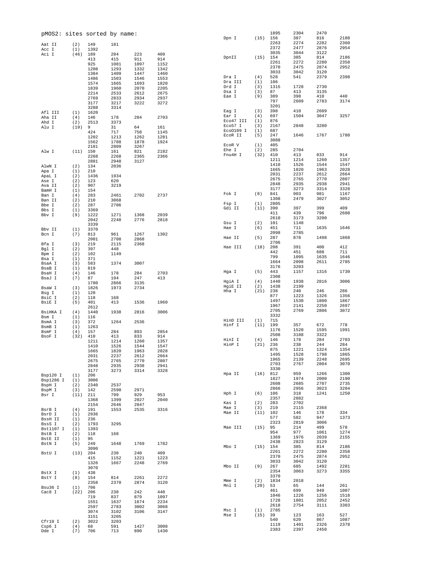| pMOS2: sites sorted by name: |            |              |              |              |              | Dpn I                | (15)        | 1895<br>156  | 2304<br>387  | 2470<br>816  | 2188         |
|------------------------------|------------|--------------|--------------|--------------|--------------|----------------------|-------------|--------------|--------------|--------------|--------------|
| Aat II                       | (2)        | 149          | 181          |              |              |                      |             | 2263         | 2274         | 2282         | 2360         |
| Acc I                        | (1)        | 1392         |              |              |              |                      |             | 2372         | 2477         | 2876         | 2954         |
| Aci I                        | (46)       | 189          | 204          | 223          | 409          |                      |             | 3035         | 3044         | 3122         |              |
|                              |            | 413          | 415          | 911          | 914          | DpnII                | (15)        | 154          | 385          | 814          | 2186         |
|                              |            | 925          | 1081         | 1097         | 1152         |                      |             | 2261         | 2272         | 2280         | 2358         |
|                              |            | 1208         | 1293         | 1332         | 1342         |                      |             | 2370<br>3033 | 2475<br>3042 | 2874<br>3120 | 2952         |
|                              |            | 1384         | 1409         | 1447         | 1460         | Dra I                | (4)         | 528          | 541          | 2379         | 2398         |
|                              |            | 1486         | 1503         | 1546         | 1553         | Dra III              | (1)         | 106          |              |              |              |
|                              |            | 1574<br>1839 | 1665<br>1960 | 1693<br>2070 | 1820<br>2205 | Drd I                | (3)         | 1315         | 1728         | 2730         |              |
|                              |            | 2214         | 2533         | 2612         | 2675         | Dsa I                | (3)         | 87           | 413          | 3135         |              |
|                              |            | 2769         | 2833         | 2934         | 2937         | Eae I                | (9)         | 389          | 398          | 410          | 440          |
|                              |            | 3177         | 3217         | 3222         | 3272         |                      |             | 797          | 2609         | 2783         | 3174         |
|                              |            | 3288         | 3314         |              |              |                      |             | 3201         |              |              |              |
| Afl III                      | (1)        | 1620         |              |              |              | Eag I                | (3)         | 398          | 410          | 2609         |              |
| Aha II                       | (4)        | 146          | 178          | 284          | 2703         | Ear I                | (4)         | 697          | 1504         | 3047         | 3257         |
| Ahd I                        | (2)        | 2513         | 3373         |              |              | Eco47 III<br>Eco57 I | (1)<br>(3)  | 876<br>2167  | 2848         | 3280         |              |
| Alu I                        | (19)       | 9            | 31           | 64           | 161          | Eco0109 I            | (1)         | 687          |              |              |              |
|                              |            | 424          | 717          | 758          | 1145         | ECOR II              | (5)         | 247          | 1646         | 1767         | 1780         |
|                              |            | 1202         | 1213         | 1262         | 1281         |                      |             | 3088         |              |              |              |
|                              |            | 1562<br>2181 | 1788<br>2809 | 1878<br>3267 | 1924         | ECOR V               | (1)         | 405          |              |              |              |
| Alw I                        | (11)       | 150          | 161          | 821          | 2182         | Ehe I                | (2)         | 285          | 2704         |              |              |
|                              |            | 2268         | 2268         | 2365         | 2366         | Fnu4H I              | (32)        | 410          | 413          | 833          | 914          |
|                              |            | 2881         | 2948         | 3127         |              |                      |             | 1211         | 1214         | 1260         | 1357         |
| AlwN I                       | (2)        | 134          | 2036         |              |              |                      |             | 1410         | 1526         | 1544         | 1547         |
| Apa I                        | (1)        | 210          |              |              |              |                      |             | 1665         | 1820         | 1963         | 2028         |
| ApaL I                       | (2)        | 1436         | 1934         |              |              |                      |             | 2031         | 2237         | 2612         | 2664         |
| Ase I                        | (2)        | 123          | 620          |              |              |                      |             | 2675         | 2765         | 2770         | 2807         |
| Ava II                       | (2)        | 907          | 3219         |              |              |                      |             | 2848<br>3177 | 2935<br>3273 | 2938<br>3314 | 2941<br>3328 |
| BamH I                       | (1)        | 154          |              |              |              | Fok I                | (8)         | 841          | 903          | 981          | 1167         |
| Ban I                        | (4)        | 283          | 2461         | 2702         | 2737         |                      |             | 1308         | 2479         | 3027         | 3052         |
| Ban II                       | (2)        | 210          | 3068         |              |              | Fsp I                | (1)         | 2805         |              |              |              |
| Bbe I                        | (2)        | 287          | 2706         |              |              | Gdi II               | (11)        | 390          | 397          | 399          | 409          |
| Bbs I                        | (1)        | 3369         |              |              |              |                      |             | 411          | 439          | 796          | 2608         |
| Bbv I                        | (9)        | 1222<br>2042 | 1271<br>2248 | 1368<br>2776 | 2039<br>2818 |                      |             | 2610         | 3173         | 3200         |              |
|                              |            | 3339         |              |              |              | Gsu I                | (2)         | 101          | 1148         |              |              |
| Bbv II                       | (1)        | 3370         |              |              |              | Hae I                | (6)         | 451          | 711          | 1635         | 1646         |
| Bcn I                        | (7)        | 813          | 961          | 1267         | 1302         |                      |             | 2098         | 2785         |              |              |
|                              |            | 2001         | 2708         | 2868         |              | Hae II               | (5)         | 287          | 878          | 1498         | 1868         |
| Bfa I                        | (3)        | 219          | 2115         | 2368         |              |                      |             | 2706         |              |              |              |
| Bgl I                        | (2)        | 397          | 448          |              |              | Hae III              | (18)        | 208          | 391          | 400          | 412          |
| Bpm I                        | (2)        | 102          | 1149         |              |              |                      |             | 442          | 451          | 688          | 711          |
| Bsa I                        | (1)        | 371          |              |              |              |                      |             | 799          | 1095         | 1635         | 1646         |
| BsaA I                       | (3)        | 583          | 1374         | 3007         |              |                      |             | 1664<br>3176 | 2098<br>3203 | 2611         | 2785         |
| BsaB I                       | (1)        | 819          |              |              |              | Hga I                | (5)         | 443          | 1157         | 1316         | 1730         |
| BsaH I                       | (4)        | 146          | 178          | 284          | 2703         |                      |             | 2308         |              |              |              |
| BsaJ I                       | (7)        | 87<br>1780   | 194<br>2866  | 247<br>3135  | 413          | HgiA I               | (4)         | 1440         | 1938         | 2816         | 3006         |
| BsaW I                       | (3)        | 1826         | 1973         | 2734         |              | HgiE II              | (2)         | 1438         | 2199         |              |              |
| Bsg I                        | (1)        | 120          |              |              |              | Hha I                | (21)        | 238          | 240          | 246          | 286          |
| BsiC I                       | (2)        | 118          | 168          |              |              |                      |             | 877          | 1223         | 1326         | 1356         |
| BsiE I                       | (5)        | 401          | 413          | 1536         | 1960         |                      |             | 1497         | 1530         | 1800         | 1867         |
|                              |            | 2612         |              |              |              |                      |             | 1967         | 2141         | 2250         | 2697         |
| BsiHKA I                     | (4)        | 1440         | 1938         | 2816         | 3006         |                      |             | 2705         | 2769         | 2806         | 3072         |
| Bsm I                        | (1)        | 116          |              |              |              |                      |             | 3332         |              |              |              |
| BsmA I                       | (3)        | 372          | 1264         | 2536         |              | HinD III<br>Hinf I   | (1)<br>(11) | 715<br>199   | 357          | 672          | 778          |
| BsmB I                       | (1)        | 1263         |              |              |              |                      |             | 1176         | 1520         | 1595         | 1991         |
| BsmF I                       | (4)        | 157          | 284          | 893          | 2854         |                      |             | 2508         | 3188         | 3322         |              |
| BsoF I                       | (32)       | 410          | 413          | 833          | 914          | HinI I               | (4)         | 146          | 178          | 284          | 2703         |
|                              |            | 1211<br>1410 | 1214         | 1260<br>1544 | 1357<br>1547 | HinP I               | (21)        | 236          | 238          | 244          | 284          |
|                              |            | 1665         | 1526<br>1820 | 1963         | 2028         |                      |             | 875          | 1221         | 1324         | 1354         |
|                              |            | 2031         | 2237         | 2612         | 2664         |                      |             | 1495         | 1528         | 1798         | 1865         |
|                              |            | 2675         | 2765         | 2770         | 2807         |                      |             | 1965         | 2139         | 2248         | 2695         |
|                              |            | 2848         | 2935         | 2938         | 2941         |                      |             | 2703         | 2767         | 2804         | 3070         |
|                              |            | 3177         | 3273         | 3314         | 3328         |                      |             | 3330         |              |              |              |
| Bsp120 I                     | (1)        | 206          |              |              |              | Hpa II               | (16)        | 812          | 959          | 1266         | 1300         |
| Bsp1286 I                    | (1)        | 3006         |              |              |              |                      |             | 1827         | 1974         | 2000         | 2190         |
| BspH I                       | (2)        | 2340         | 2537         |              |              |                      |             | 2608<br>2866 | 2685<br>2956 | 2707<br>3023 | 2735<br>3204 |
| BspM I                       | (3)        | 142          | 2590         | 2971         |              | Hph I                | (6)         | 106          | 318          | 1241         | 1250         |
| Bsr I                        | (11)       | 211<br>1368  | 799<br>1399  | 929<br>2027  | 953<br>2040  |                      |             | 2357         | 2882         |              |              |
|                              |            | 2154         |              | 2847         |              | Kas I                | (2)         | 283          | 2702         |              |              |
| BsrB I                       | (4)        | 191          | 2646<br>1553 | 2535         | 3316         | Mae I                | (3)         | 219          | 2115         | 2368         |              |
| BsrD I                       | (1)        | 2936         |              |              |              | Mae II               | (11)        | 102          | 146          | 178          | 334          |
| BssH II                      | (1)        | 236          |              |              |              |                      |             | 577          | 582          | 947          | 1373         |
| BssS I                       | (2)        | 1793         | 3295         |              |              |                      |             | 2323         | 2819         | 3006         |              |
| Bst1107 I                    | (1)        | 1393         |              |              |              | Mae III              | (15)        | 95           | 214          | 499          | 578          |
| BstB I                       | (2)        | 118          | 168          |              |              |                      |             | 954          | 977          | 1061         | 1274         |
| BstE II                      | (1)        | 95           |              |              |              |                      |             | 1369<br>2438 | 1976<br>2823 | 2039<br>3129 | 2155         |
| BstN I                       | (5)        | 249          | 1648         | 1769         | 1782         | Mbo I                | (15)        | 154          | 385          | 814          | 2186         |
|                              |            | 3090         |              |              |              |                      |             | 2261         | 2272         | 2280         | 2358         |
| BstU I                       | (13)       | 204          | 238          | 240          | 409          |                      |             | 2370         | 2475         | 2874         | 2952         |
|                              |            | 415<br>1326  | 1152<br>1667 | 1221<br>2248 | 1223<br>2769 |                      |             | 3033         | 3042         | 3120         |              |
|                              |            | 3070         |              |              |              | Mbo II               | (9)         | 267          | 685          | 1492         | 2281         |
| BstX I                       | (1)        | 438          |              |              |              |                      |             | 2354         | 3063         | 3273         | 3355         |
| BstY I                       | (8)        | 154          | 814          | 2261         | 2272         |                      |             | 3370         |              |              |              |
|                              |            | 2358         | 2370         | 2874         | 3120         | Mme I                | (2)         | 1834         | 2018         |              |              |
| Bsu36 I                      | (1)        | 706          |              |              |              | Mnl I                | (20)        | 53           | 65           | 144          | 261          |
| Cac8 I                       | (22)       | 206          | 238          | 242          | 440          |                      |             | 461          | 699          | 949          | 1007         |
|                              |            | 719          | 837          | 879          | 1097         |                      |             | 1046         | 1226         | 1256         | 1518         |
|                              |            | 1551         | 1637         | 1674         | 2234         |                      |             | 1728         | 1801<br>2754 | 2052         | 2452         |
|                              |            | 2597         | 2783         | 3002         | 3068         | Msc I                | (1)         | 2618<br>2785 |              | 3111         | 3303         |
|                              |            | 3074         | 3102         | 3106         | 3147         | Mse I                | (15)        | 39           | 123          | 163          | 527          |
|                              |            | 3151         | 3205         |              |              |                      |             | 540          | 620          | 867          | 1087         |
| Cfr10 I<br>Csp6 I            | (2)<br>(4) | 3022<br>68   | 3203<br>591  | 1427         | 3008         |                      |             | 1119         | 1401         | 2326         | 2378         |
| Dde I                        | (7)        | 706          | 713          | 890          | 1430         |                      |             | 2383         | 2397         | 2450         |              |